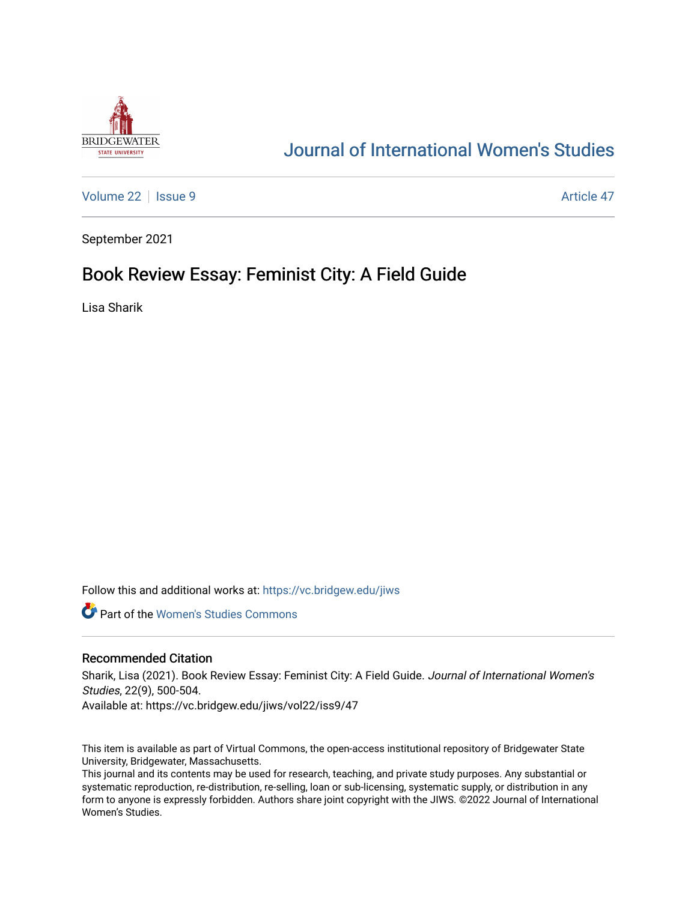

# [Journal of International Women's Studies](https://vc.bridgew.edu/jiws)

[Volume 22](https://vc.bridgew.edu/jiws/vol22) | [Issue 9](https://vc.bridgew.edu/jiws/vol22/iss9) Article 47

September 2021

# Book Review Essay: Feminist City: A Field Guide

Lisa Sharik

Follow this and additional works at: [https://vc.bridgew.edu/jiws](https://vc.bridgew.edu/jiws?utm_source=vc.bridgew.edu%2Fjiws%2Fvol22%2Fiss9%2F47&utm_medium=PDF&utm_campaign=PDFCoverPages)

**C** Part of the Women's Studies Commons

### Recommended Citation

Sharik, Lisa (2021). Book Review Essay: Feminist City: A Field Guide. Journal of International Women's Studies, 22(9), 500-504.

Available at: https://vc.bridgew.edu/jiws/vol22/iss9/47

This item is available as part of Virtual Commons, the open-access institutional repository of Bridgewater State University, Bridgewater, Massachusetts.

This journal and its contents may be used for research, teaching, and private study purposes. Any substantial or systematic reproduction, re-distribution, re-selling, loan or sub-licensing, systematic supply, or distribution in any form to anyone is expressly forbidden. Authors share joint copyright with the JIWS. ©2022 Journal of International Women's Studies.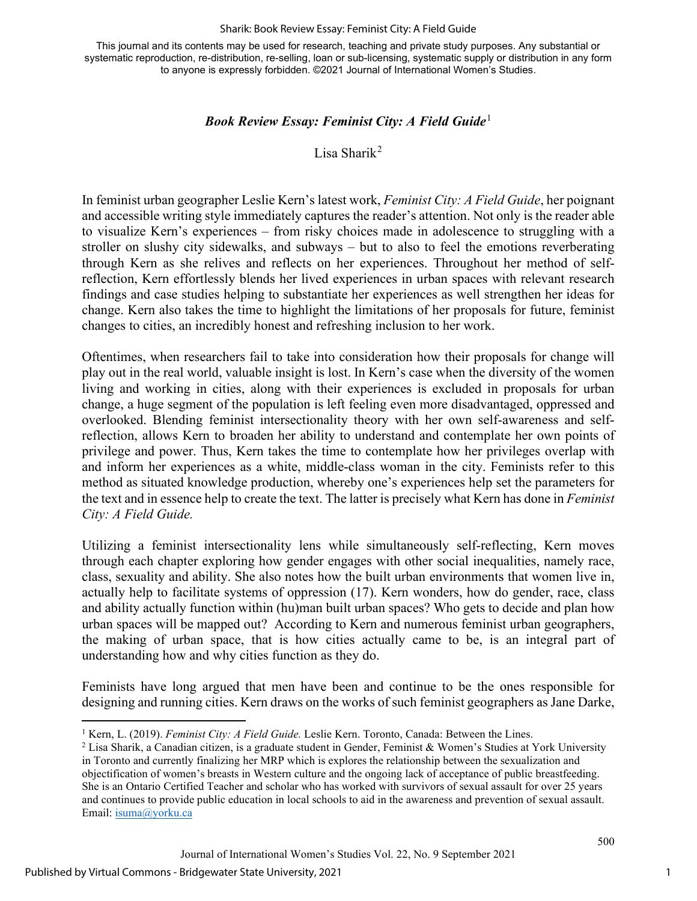#### Sharik: Book Review Essay: Feminist City: A Field Guide

This journal and its contents may be used for research, teaching and private study purposes. Any substantial or systematic reproduction, re-distribution, re-selling, loan or sub-licensing, systematic supply or distribution in any form to anyone is expressly forbidden. ©2021 Journal of International Women's Studies.

### *Book Review Essay: Feminist City: A Field Guide*[1](#page-1-0)

Lisa Sharik[2](#page-1-1)

In feminist urban geographer Leslie Kern's latest work, *Feminist City: A Field Guide*, her poignant and accessible writing style immediately captures the reader's attention. Not only is the reader able to visualize Kern's experiences – from risky choices made in adolescence to struggling with a stroller on slushy city sidewalks, and subways – but to also to feel the emotions reverberating through Kern as she relives and reflects on her experiences. Throughout her method of selfreflection, Kern effortlessly blends her lived experiences in urban spaces with relevant research findings and case studies helping to substantiate her experiences as well strengthen her ideas for change. Kern also takes the time to highlight the limitations of her proposals for future, feminist changes to cities, an incredibly honest and refreshing inclusion to her work.

Oftentimes, when researchers fail to take into consideration how their proposals for change will play out in the real world, valuable insight is lost. In Kern's case when the diversity of the women living and working in cities, along with their experiences is excluded in proposals for urban change, a huge segment of the population is left feeling even more disadvantaged, oppressed and overlooked. Blending feminist intersectionality theory with her own self-awareness and selfreflection, allows Kern to broaden her ability to understand and contemplate her own points of privilege and power. Thus, Kern takes the time to contemplate how her privileges overlap with and inform her experiences as a white, middle-class woman in the city. Feminists refer to this method as situated knowledge production, whereby one's experiences help set the parameters for the text and in essence help to create the text. The latter is precisely what Kern has done in *Feminist City: A Field Guide.*

Utilizing a feminist intersectionality lens while simultaneously self-reflecting, Kern moves through each chapter exploring how gender engages with other social inequalities, namely race, class, sexuality and ability. She also notes how the built urban environments that women live in, actually help to facilitate systems of oppression (17). Kern wonders, how do gender, race, class and ability actually function within (hu)man built urban spaces? Who gets to decide and plan how urban spaces will be mapped out? According to Kern and numerous feminist urban geographers, the making of urban space, that is how cities actually came to be, is an integral part of understanding how and why cities function as they do.

Feminists have long argued that men have been and continue to be the ones responsible for designing and running cities. Kern draws on the works of such feminist geographers as Jane Darke,

<span id="page-1-1"></span><span id="page-1-0"></span><sup>&</sup>lt;sup>1</sup> Kern, L. (2019). *Feminist City: A Field Guide*. Leslie Kern. Toronto, Canada: Between the Lines.<br><sup>2</sup> Lisa Sharik, a Canadian citizen, is a graduate student in Gender, Feminist & Women's Studies at York University in Toronto and currently finalizing her MRP which is explores the relationship between the sexualization and objectification of women's breasts in Western culture and the ongoing lack of acceptance of public breastfeeding. She is an Ontario Certified Teacher and scholar who has worked with survivors of sexual assault for over 25 years and continues to provide public education in local schools to aid in the awareness and prevention of sexual assault. Email: [isuma@yorku.ca](mailto:isuma@yorku.ca)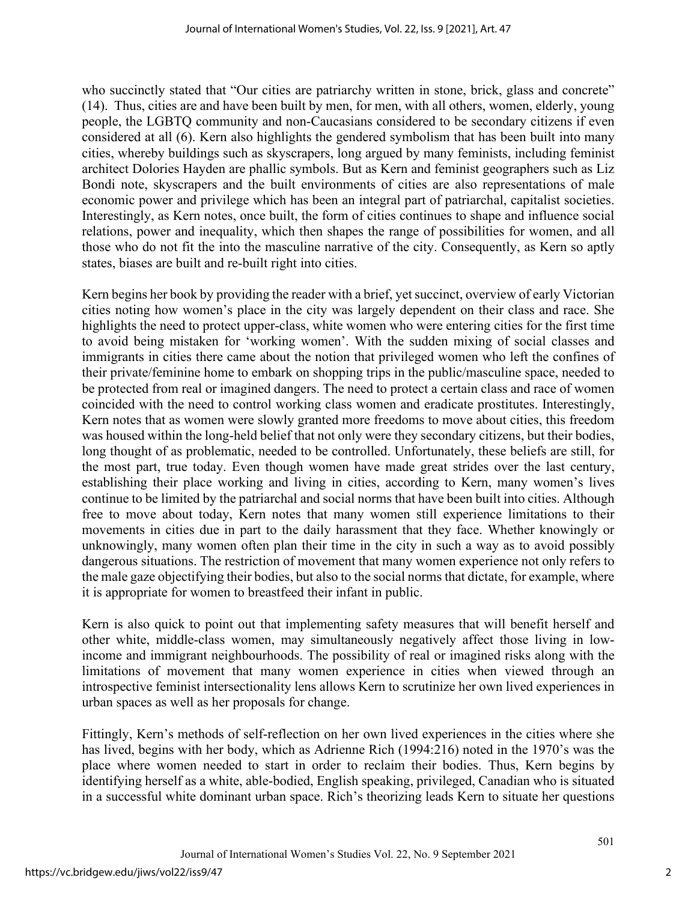who succinctly stated that "Our cities are patriarchy written in stone, brick, glass and concrete" (14). Thus, cities are and have been built by men, for men, with all others, women, elderly, young people, the LGBTQ community and non-Caucasians considered to be secondary citizens if even considered at all (6). Kern also highlights the gendered symbolism that has been built into many cities, whereby buildings such as skyscrapers, long argued by many feminists, including feminist architect Dolories Hayden are phallic symbols. But as Kern and feminist geographers such as Liz Bondi note, skyscrapers and the built environments of cities are also representations of male economic power and privilege which has been an integral part of patriarchal, capitalist societies. Interestingly, as Kern notes, once built, the form of cities continues to shape and influence social relations, power and inequality, which then shapes the range of possibilities for women, and all those who do not fit the into the masculine narrative of the city. Consequently, as Kern so aptly states, biases are built and re-built right into cities.

Kern begins her book by providing the reader with a brief, yet succinct, overview of early Victorian cities noting how women's place in the city was largely dependent on their class and race. She highlights the need to protect upper-class, white women who were entering cities for the first time to avoid being mistaken for 'working women'. With the sudden mixing of social classes and immigrants in cities there came about the notion that privileged women who left the confines of their private/feminine home to embark on shopping trips in the public/masculine space, needed to be protected from real or imagined dangers. The need to protect a certain class and race of women coincided with the need to control working class women and eradicate prostitutes. Interestingly, Kern notes that as women were slowly granted more freedoms to move about cities, this freedom was housed within the long-held belief that not only were they secondary citizens, but their bodies, long thought of as problematic, needed to be controlled. Unfortunately, these beliefs are still, for the most part, true today. Even though women have made great strides over the last century, establishing their place working and living in cities, according to Kern, many women's lives continue to be limited by the patriarchal and social norms that have been built into cities. Although free to move about today, Kern notes that many women still experience limitations to their movements in cities due in part to the daily harassment that they face. Whether knowingly or unknowingly, many women often plan their time in the city in such a way as to avoid possibly dangerous situations. The restriction of movement that many women experience not only refers to the male gaze objectifying their bodies, but also to the social norms that dictate, for example, where it is appropriate for women to breastfeed their infant in public.

Kern is also quick to point out that implementing safety measures that will benefit herself and other white, middle-class women, may simultaneously negatively affect those living in lowincome and immigrant neighbourhoods. The possibility of real or imagined risks along with the limitations of movement that many women experience in cities when viewed through an introspective feminist intersectionality lens allows Kern to scrutinize her own lived experiences in urban spaces as well as her proposals for change.

Fittingly, Kern's methods of self-reflection on her own lived experiences in the cities where she has lived, begins with her body, which as Adrienne Rich (1994:216) noted in the 1970's was the place where women needed to start in order to reclaim their bodies. Thus, Kern begins by identifying herself as a white, able-bodied, English speaking, privileged, Canadian who is situated in a successful white dominant urban space. Rich's theorizing leads Kern to situate her questions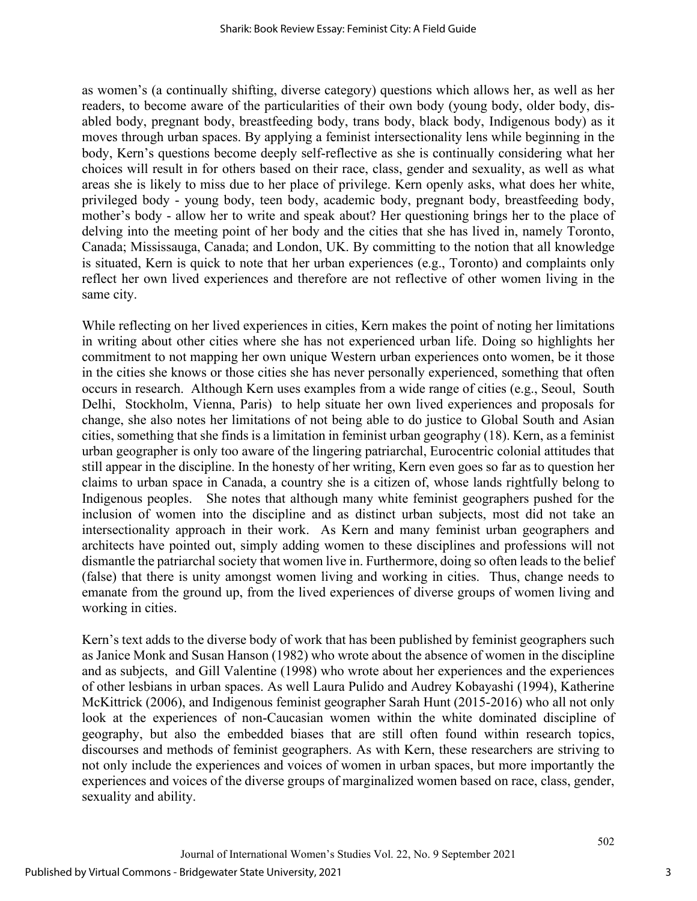as women's (a continually shifting, diverse category) questions which allows her, as well as her readers, to become aware of the particularities of their own body (young body, older body, disabled body, pregnant body, breastfeeding body, trans body, black body, Indigenous body) as it moves through urban spaces. By applying a feminist intersectionality lens while beginning in the body, Kern's questions become deeply self-reflective as she is continually considering what her choices will result in for others based on their race, class, gender and sexuality, as well as what areas she is likely to miss due to her place of privilege. Kern openly asks, what does her white, privileged body - young body, teen body, academic body, pregnant body, breastfeeding body, mother's body - allow her to write and speak about? Her questioning brings her to the place of delving into the meeting point of her body and the cities that she has lived in, namely Toronto, Canada; Mississauga, Canada; and London, UK. By committing to the notion that all knowledge is situated, Kern is quick to note that her urban experiences (e.g., Toronto) and complaints only reflect her own lived experiences and therefore are not reflective of other women living in the same city.

While reflecting on her lived experiences in cities, Kern makes the point of noting her limitations in writing about other cities where she has not experienced urban life. Doing so highlights her commitment to not mapping her own unique Western urban experiences onto women, be it those in the cities she knows or those cities she has never personally experienced, something that often occurs in research. Although Kern uses examples from a wide range of cities (e.g., Seoul, South Delhi, Stockholm, Vienna, Paris) to help situate her own lived experiences and proposals for change, she also notes her limitations of not being able to do justice to Global South and Asian cities, something that she finds is a limitation in feminist urban geography (18). Kern, as a feminist urban geographer is only too aware of the lingering patriarchal, Eurocentric colonial attitudes that still appear in the discipline. In the honesty of her writing, Kern even goes so far as to question her claims to urban space in Canada, a country she is a citizen of, whose lands rightfully belong to Indigenous peoples. She notes that although many white feminist geographers pushed for the inclusion of women into the discipline and as distinct urban subjects, most did not take an intersectionality approach in their work.As Kern and many feminist urban geographers and architects have pointed out, simply adding women to these disciplines and professions will not dismantle the patriarchal society that women live in. Furthermore, doing so often leads to the belief (false) that there is unity amongst women living and working in cities. Thus, change needs to emanate from the ground up, from the lived experiences of diverse groups of women living and working in cities.

Kern's text adds to the diverse body of work that has been published by feminist geographers such as Janice Monk and Susan Hanson (1982) who wrote about the absence of women in the discipline and as subjects, and Gill Valentine (1998) who wrote about her experiences and the experiences of other lesbians in urban spaces. As well Laura Pulido and Audrey Kobayashi (1994), Katherine McKittrick (2006), and Indigenous feminist geographer Sarah Hunt (2015-2016) who all not only look at the experiences of non-Caucasian women within the white dominated discipline of geography, but also the embedded biases that are still often found within research topics, discourses and methods of feminist geographers. As with Kern, these researchers are striving to not only include the experiences and voices of women in urban spaces, but more importantly the experiences and voices of the diverse groups of marginalized women based on race, class, gender, sexuality and ability.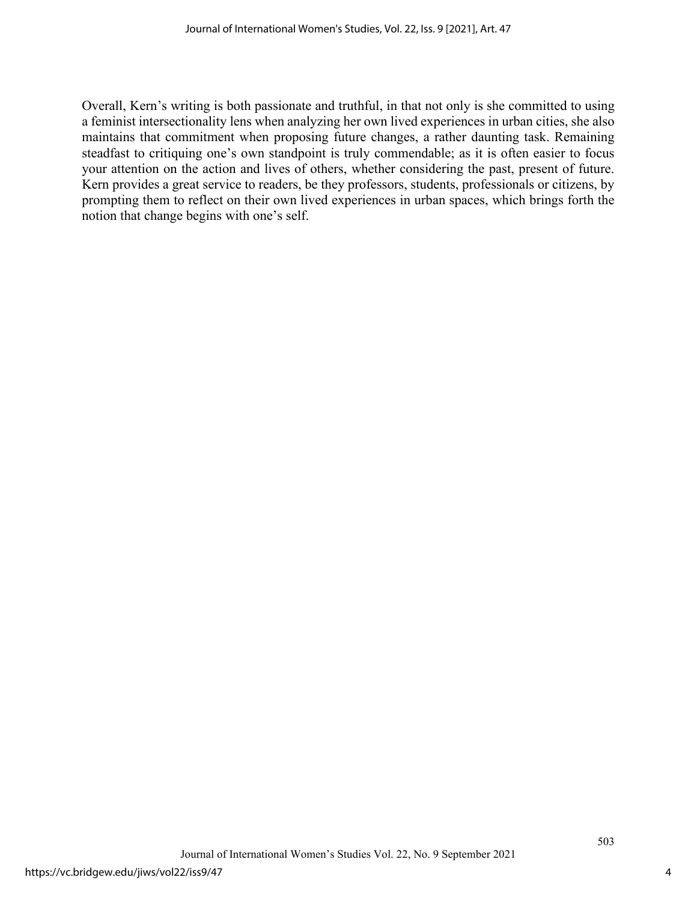Overall, Kern's writing is both passionate and truthful, in that not only is she committed to using a feminist intersectionality lens when analyzing her own lived experiences in urban cities, she also maintains that commitment when proposing future changes, a rather daunting task. Remaining steadfast to critiquing one's own standpoint is truly commendable; as it is often easier to focus your attention on the action and lives of others, whether considering the past, present of future. Kern provides a great service to readers, be they professors, students, professionals or citizens, by prompting them to reflect on their own lived experiences in urban spaces, which brings forth the notion that change begins with one's self.